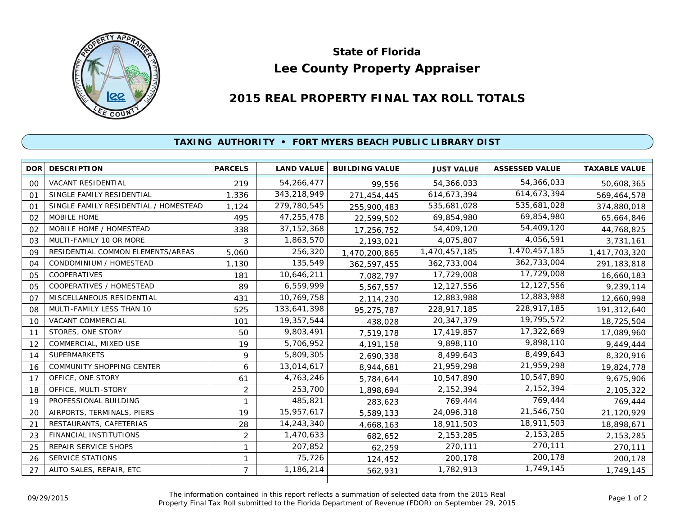

## **Lee County Property Appraiser State of Florida**

## **2015 REAL PROPERTY FINAL TAX ROLL TOTALS**

## **TAXING AUTHORITY • FORT MYERS BEACH PUBLIC LIBRARY DIST**

|    | <b>DOR DESCRIPTION</b>                | <b>PARCELS</b> | <b>LAND VALUE</b> | <b>BUILDING VALUE</b> | <b>JUST VALUE</b> | <b>ASSESSED VALUE</b> | <b>TAXABLE VALUE</b> |
|----|---------------------------------------|----------------|-------------------|-----------------------|-------------------|-----------------------|----------------------|
| 00 | <b>VACANT RESIDENTIAL</b>             | 219            | 54,266,477        | 99,556                | 54,366,033        | 54,366,033            | 50,608,365           |
| 01 | SINGLE FAMILY RESIDENTIAL             | 1,336          | 343,218,949       | 271,454,445           | 614,673,394       | 614,673,394           | 569,464,578          |
| 01 | SINGLE FAMILY RESIDENTIAL / HOMESTEAD | 1,124          | 279,780,545       | 255,900,483           | 535,681,028       | 535,681,028           | 374,880,018          |
| 02 | MOBILE HOME                           | 495            | 47,255,478        | 22,599,502            | 69,854,980        | 69,854,980            | 65,664,846           |
| 02 | MOBILE HOME / HOMESTEAD               | 338            | 37, 152, 368      | 17,256,752            | 54,409,120        | 54,409,120            | 44,768,825           |
| 03 | MULTI-FAMILY 10 OR MORE               | 3              | 1,863,570         | 2,193,021             | 4,075,807         | 4,056,591             | 3,731,161            |
| 09 | RESIDENTIAL COMMON ELEMENTS/AREAS     | 5,060          | 256,320           | 1,470,200,865         | 1,470,457,185     | 1,470,457,185         | 1,417,703,320        |
| 04 | CONDOMINIUM / HOMESTEAD               | 1,130          | 135,549           | 362,597,455           | 362,733,004       | 362,733,004           | 291,183,818          |
| 05 | COOPERATIVES                          | 181            | 10,646,211        | 7,082,797             | 17,729,008        | 17,729,008            | 16,660,183           |
| 05 | COOPERATIVES / HOMESTEAD              | 89             | 6,559,999         | 5,567,557             | 12, 127, 556      | 12,127,556            | 9,239,114            |
| 07 | MISCELLANEOUS RESIDENTIAL             | 431            | 10,769,758        | 2,114,230             | 12,883,988        | 12,883,988            | 12,660,998           |
| 08 | MULTI-FAMILY LESS THAN 10             | 525            | 133,641,398       | 95,275,787            | 228,917,185       | 228,917,185           | 191,312,640          |
| 10 | VACANT COMMERCIAL                     | 101            | 19,357,544        | 438,028               | 20,347,379        | 19,795,572            | 18,725,504           |
| 11 | STORES, ONE STORY                     | 50             | 9,803,491         | 7,519,178             | 17,419,857        | 17,322,669            | 17,089,960           |
| 12 | COMMERCIAL, MIXED USE                 | 19             | 5,706,952         | 4, 191, 158           | 9,898,110         | 9,898,110             | 9,449,444            |
| 14 | <b>SUPERMARKETS</b>                   | 9              | 5,809,305         | 2,690,338             | 8,499,643         | 8,499,643             | 8,320,916            |
| 16 | <b>COMMUNITY SHOPPING CENTER</b>      | 6              | 13,014,617        | 8,944,681             | 21,959,298        | 21,959,298            | 19,824,778           |
| 17 | OFFICE, ONE STORY                     | 61             | 4,763,246         | 5,784,644             | 10,547,890        | 10,547,890            | 9,675,906            |
| 18 | OFFICE, MULTI-STORY                   | 2              | 253,700           | 1,898,694             | 2,152,394         | 2, 152, 394           | 2,105,322            |
| 19 | PROFESSIONAL BUILDING                 |                | 485,821           | 283,623               | 769,444           | 769,444               | 769,444              |
| 20 | AIRPORTS, TERMINALS, PIERS            | 19             | 15,957,617        | 5,589,133             | 24,096,318        | 21,546,750            | 21,120,929           |
| 21 | RESTAURANTS, CAFETERIAS               | 28             | 14,243,340        | 4,668,163             | 18,911,503        | 18,911,503            | 18,898,671           |
| 23 | FINANCIAL INSTITUTIONS                | $\overline{2}$ | 1,470,633         | 682,652               | 2,153,285         | 2,153,285             | 2, 153, 285          |
| 25 | <b>REPAIR SERVICE SHOPS</b>           | 1              | 207,852           | 62,259                | 270,111           | 270,111               | 270,111              |
| 26 | <b>SERVICE STATIONS</b>               |                | 75,726            | 124,452               | 200,178           | 200,178               | 200,178              |
| 27 | AUTO SALES, REPAIR, ETC               | $\overline{7}$ | 1,186,214         | 562,931               | 1,782,913         | 1,749,145             | 1,749,145            |
|    |                                       |                |                   |                       |                   |                       |                      |

The information contained in this report reflects a summation of selected data from the 2015 Real Ine information contained in this report reflects a summation of selected data from the 2015 Real<br>Property Final Tax Roll submitted to the Florida Department of Revenue (FDOR) on September 29, 2015